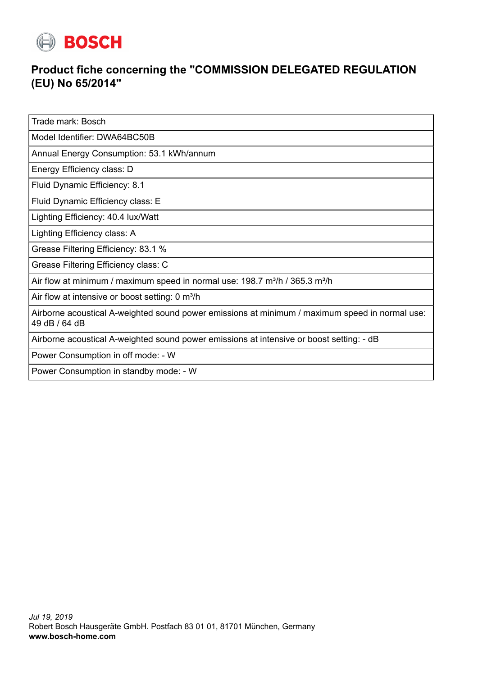

## **Product fiche concerning the "COMMISSION DELEGATED REGULATION (EU) No 65/2014"**

Trade mark: Bosch

Model Identifier: DWA64BC50B

Annual Energy Consumption: 53.1 kWh/annum

Energy Efficiency class: D

Fluid Dynamic Efficiency: 8.1

Fluid Dynamic Efficiency class: E

Lighting Efficiency: 40.4 lux/Watt

Lighting Efficiency class: A

Grease Filtering Efficiency: 83.1 %

Grease Filtering Efficiency class: C

Air flow at minimum / maximum speed in normal use:  $198.7 \text{ m}^3/\text{h}$  /  $365.3 \text{ m}^3/\text{h}$ 

Air flow at intensive or boost setting: 0 m<sup>3</sup>/h

Airborne acoustical A-weighted sound power emissions at minimum / maximum speed in normal use: 49 dB / 64 dB

Airborne acoustical A-weighted sound power emissions at intensive or boost setting: - dB

Power Consumption in off mode: - W

Power Consumption in standby mode: - W